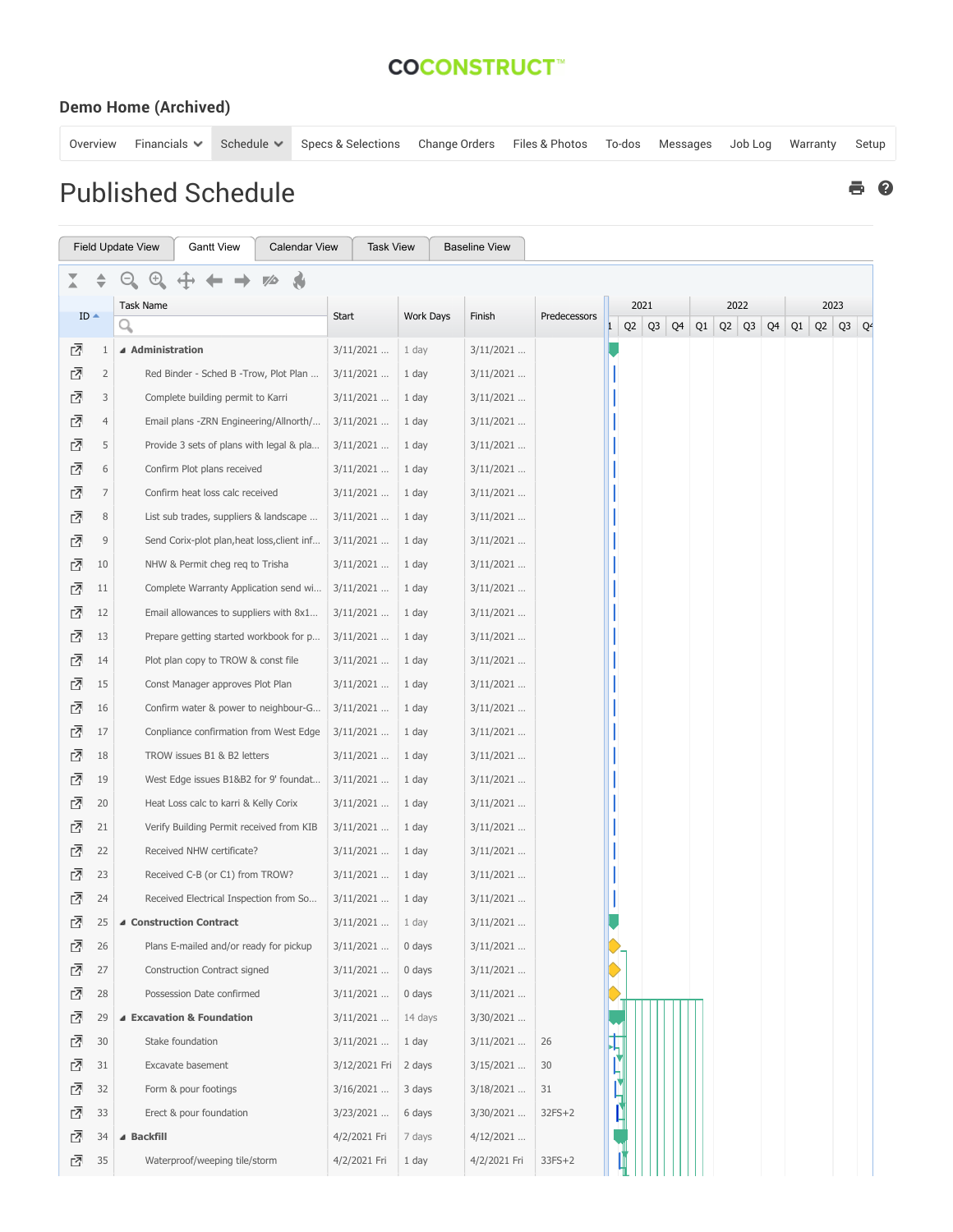## **COCONSTRUCT**<sup>\*\*</sup>

## Demo Home (Archived)

[Overview](https://www.co-construct.com/app/shared/ProjectOverview.aspx?projectOID=103835) Financials Schedule Specs & [Selections](https://www.co-construct.com/app/shared/selectionlist.aspx?projectOID=103835) [Change](https://www.co-construct.com/app/shared/expenses.aspx?projectOID=103835&tab=2&gb=status) Orders Files & [Photos](https://www.co-construct.com/app/shared/filelist.aspx?projectOID=103835&type=file) [To-dos](https://www.co-construct.com/app/shared/todolist.aspx?projectOID=103835) [Messages](https://www.co-construct.com/app/shared/messages.aspx?projectOID=103835) [Job](https://www.co-construct.com/app/shared/jobloglist.aspx?projectOID=103835) Log [Warranty](https://www.co-construct.com/app/shared/warrantylist.aspx?projectOID=103835) [Setup](https://www.co-construct.com/app/contractor/AddEditProject.aspx?pi=103835)

## Published Schedule

|        |                | <b>Field Update View</b><br><b>Gantt View</b><br><b>Calendar View</b> | <b>Task View</b> |                  | <b>Baseline View</b> |              |  |      |           |    |    |           |    |      |                |  |  |
|--------|----------------|-----------------------------------------------------------------------|------------------|------------------|----------------------|--------------|--|------|-----------|----|----|-----------|----|------|----------------|--|--|
|        |                |                                                                       |                  |                  |                      |              |  |      |           |    |    |           |    |      |                |  |  |
|        |                | Task Name                                                             |                  | <b>Work Days</b> |                      |              |  | 2021 |           |    |    | 2022      |    | 2023 |                |  |  |
| $ID -$ |                | Q                                                                     | Start            |                  | Finish               | Predecessors |  |      | $Q2$ $Q3$ | Q4 | Q1 | $Q2$ $Q3$ | Q4 | Q1   | $Q2$ $Q3$ $Q4$ |  |  |
| ₫      | 1              | ▲ Administration                                                      | $3/11/2021$      | 1 day            | $3/11/2021$          |              |  |      |           |    |    |           |    |      |                |  |  |
| 囨      | $\overline{2}$ | Red Binder - Sched B - Trow, Plot Plan                                | $3/11/2021$      | 1 day            | $3/11/2021$          |              |  |      |           |    |    |           |    |      |                |  |  |
| 囨      | 3              | Complete building permit to Karri                                     | $3/11/2021$      | 1 day            | $3/11/2021$          |              |  |      |           |    |    |           |    |      |                |  |  |
| ⊡      | $\overline{4}$ | Email plans -ZRN Engineering/Allnorth/                                | $3/11/2021$      | 1 day            | $3/11/2021$          |              |  |      |           |    |    |           |    |      |                |  |  |
| 囨      | 5              | Provide 3 sets of plans with legal & pla                              | $3/11/2021$      | 1 day            | $3/11/2021$          |              |  |      |           |    |    |           |    |      |                |  |  |
| 囨      | 6              | Confirm Plot plans received                                           | $3/11/2021$      | 1 day            | $3/11/2021$          |              |  |      |           |    |    |           |    |      |                |  |  |
| ₫      | 7              | Confirm heat loss calc received                                       | $3/11/2021$      | 1 day            | $3/11/2021$          |              |  |      |           |    |    |           |    |      |                |  |  |
| ᇈ      | $\,8\,$        | List sub trades, suppliers & landscape                                | $3/11/2021$      | 1 day            | $3/11/2021$          |              |  |      |           |    |    |           |    |      |                |  |  |
| 囨      | 9              | Send Corix-plot plan, heat loss, client inf                           | $3/11/2021$      | 1 day            | $3/11/2021$          |              |  |      |           |    |    |           |    |      |                |  |  |
| 囨      | 10             | NHW & Permit cheg req to Trisha                                       | $3/11/2021$      | 1 day            | $3/11/2021$          |              |  |      |           |    |    |           |    |      |                |  |  |
| 囨      | 11             | Complete Warranty Application send wi                                 | $3/11/2021$      | 1 day            | $3/11/2021$          |              |  |      |           |    |    |           |    |      |                |  |  |
| 囨      | 12             | Email allowances to suppliers with 8x1                                | $3/11/2021$      | 1 day            | $3/11/2021$          |              |  |      |           |    |    |           |    |      |                |  |  |
| 立      | 13             | Prepare getting started workbook for p                                | $3/11/2021$      | 1 day            | $3/11/2021$          |              |  |      |           |    |    |           |    |      |                |  |  |
| 立      | 14             | Plot plan copy to TROW & const file                                   | $3/11/2021$      | 1 day            | $3/11/2021$          |              |  |      |           |    |    |           |    |      |                |  |  |
| 囨      | 15             | Const Manager approves Plot Plan                                      | $3/11/2021$      | 1 day            | $3/11/2021$          |              |  |      |           |    |    |           |    |      |                |  |  |
| 囨      | 16             | Confirm water & power to neighbour-G                                  | $3/11/2021$      | 1 day            | $3/11/2021$          |              |  |      |           |    |    |           |    |      |                |  |  |
| 囨      | 17             | Conpliance confirmation from West Edge                                | $3/11/2021$      | 1 day            | $3/11/2021$          |              |  |      |           |    |    |           |    |      |                |  |  |
| 囨      | 18             | TROW issues B1 & B2 letters                                           | 3/11/2021        | 1 day            | $3/11/2021$          |              |  |      |           |    |    |           |    |      |                |  |  |
| 囨      | 19             | West Edge issues B1&B2 for 9' foundat                                 | $3/11/2021$      | 1 day            | $3/11/2021$          |              |  |      |           |    |    |           |    |      |                |  |  |
| 囨      | 20             | Heat Loss calc to karri & Kelly Corix                                 | $3/11/2021$      | 1 day            | $3/11/2021$          |              |  |      |           |    |    |           |    |      |                |  |  |
| 囨      | 21             | Verify Building Permit received from KIB                              | $3/11/2021$      | 1 day            | $3/11/2021$          |              |  |      |           |    |    |           |    |      |                |  |  |
| ᇈ      | 22             | Received NHW certificate?                                             | $3/11/2021$      | 1 day            | $3/11/2021$          |              |  |      |           |    |    |           |    |      |                |  |  |
| 囨      | 23             | Received C-B (or C1) from TROW?                                       | $3/11/2021$      | 1 day            | $3/11/2021$          |              |  |      |           |    |    |           |    |      |                |  |  |
| 囨      | 24             | Received Electrical Inspection from So                                | $3/11/2021$      | 1 day            | $3/11/2021$          |              |  |      |           |    |    |           |    |      |                |  |  |
| 다      | 25             | ▲ Construction Contract                                               | $3/11/2021$      | 1 day            | $3/11/2021$          |              |  |      |           |    |    |           |    |      |                |  |  |
| ⊡      | 26             | Plans E-mailed and/or ready for pickup                                | $3/11/2021$      | 0 days           | $3/11/2021$          |              |  |      |           |    |    |           |    |      |                |  |  |
| ᇈ      | 27             | Construction Contract signed                                          | $3/11/2021$      | 0 days           | $3/11/2021$          |              |  |      |           |    |    |           |    |      |                |  |  |
| ᇈ      | 28             | Possession Date confirmed                                             | $3/11/2021$      | 0 days           | $3/11/2021$          |              |  |      |           |    |    |           |    |      |                |  |  |
| ₫      | 29             | ▲ Excavation & Foundation                                             | $3/11/2021$      | 14 days          | 3/30/2021            |              |  |      |           |    |    |           |    |      |                |  |  |
| ₫      | 30             | Stake foundation                                                      | 3/11/2021        | 1 day            | $3/11/2021$          | 26           |  |      |           |    |    |           |    |      |                |  |  |
| ₫      | 31             | Excavate basement                                                     | 3/12/2021 Fri    | 2 days           | $3/15/2021$          | 30           |  |      |           |    |    |           |    |      |                |  |  |
| ₫      | 32             | Form & pour footings                                                  | $3/16/2021$      | 3 days           | 3/18/2021            | 31           |  |      |           |    |    |           |    |      |                |  |  |
| 囨      | 33             | Erect & pour foundation                                               | 3/23/2021        | 6 days           | 3/30/2021            | $32FS+2$     |  |      |           |    |    |           |    |      |                |  |  |
| 囨      | 34             | ▲ Backfill                                                            | 4/2/2021 Fri     | 7 days           | 4/12/2021            |              |  |      |           |    |    |           |    |      |                |  |  |
| ⊡      | 35             | Waterproof/weeping tile/storm                                         | 4/2/2021 Fri     | 1 day            | 4/2/2021 Fri         | $33FS+2$     |  |      |           |    |    |           |    |      |                |  |  |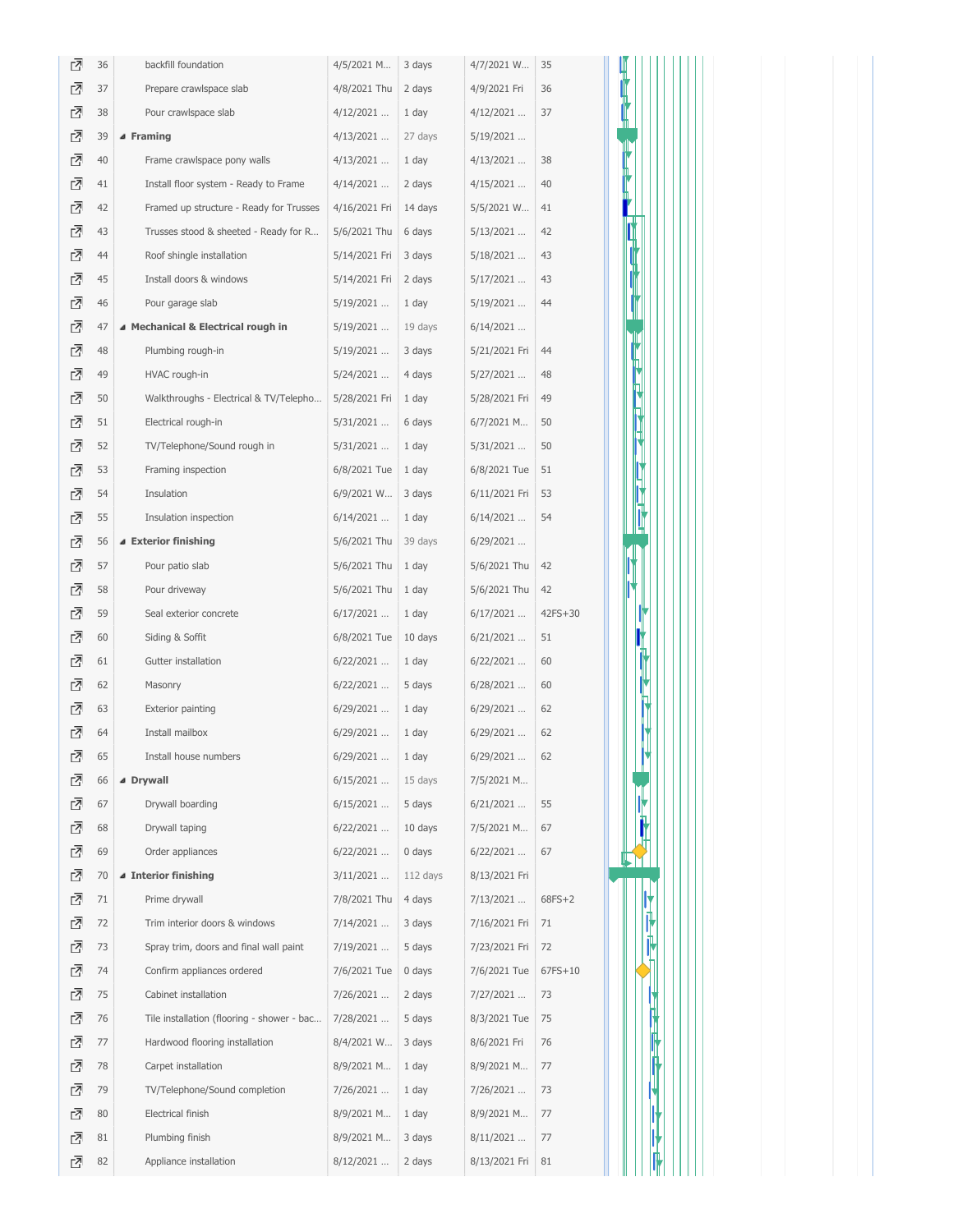| ⊡ | 36 | backfill foundation                        | 4/5/2021 M             | 3 days    | 4/7/2021 W    | 35        |   |
|---|----|--------------------------------------------|------------------------|-----------|---------------|-----------|---|
| ᇈ | 37 | Prepare crawlspace slab                    | 4/8/2021 Thu           | 2 days    | 4/9/2021 Fri  | 36        |   |
| ₫ | 38 | Pour crawlspace slab                       | $4/12/2021$            | 1 day     | $4/12/2021$   | 37        |   |
| ₫ | 39 | ▲ Framing                                  | $4/13/2021$            | 27 days   | $5/19/2021$   |           |   |
| ₫ | 40 | Frame crawlspace pony walls                | 4/13/2021              | 1 day     | $4/13/2021$   | 38        |   |
| ᇈ | 41 | Install floor system - Ready to Frame      | $4/14/2021$            | 2 days    | $4/15/2021$   | 40        |   |
| ⊡ | 42 | Framed up structure - Ready for Trusses    | 4/16/2021 Fri          | $14$ days | 5/5/2021 W    | 41        |   |
| ᇗ | 43 | Trusses stood & sheeted - Ready for R      | 5/6/2021 Thu           | 6 days    | $5/13/2021$   | 42        |   |
| ⊡ | 44 | Roof shingle installation                  | 5/14/2021 Fri   3 days |           | 5/18/2021     | 43        |   |
| ᇈ | 45 | Install doors & windows                    | 5/14/2021 Fri          | 2 days    | $5/17/2021$   | 43        |   |
| ᇈ | 46 | Pour garage slab                           | $5/19/2021$            | 1 day     | $5/19/2021$   | 44        |   |
| ⊡ | 47 | ▲ Mechanical & Electrical rough in         | 5/19/2021              | 19 days   | $6/14/2021$   |           |   |
| ⊡ | 48 | Plumbing rough-in                          | 5/19/2021              | 3 days    | 5/21/2021 Fri | 44        |   |
| ₫ | 49 | HVAC rough-in                              | $5/24/2021$            | 4 days    | $5/27/2021$   | 48        |   |
| ᇈ | 50 | Walkthroughs - Electrical & TV/Telepho     | 5/28/2021 Fri          | 1 day     | 5/28/2021 Fri | 49        |   |
| ᇗ | 51 | Electrical rough-in                        | $5/31/2021$            | 6 days    | 6/7/2021 M    | 50        |   |
| ᇈ | 52 | TV/Telephone/Sound rough in                | $5/31/2021$            | 1 day     | $5/31/2021$   | 50        |   |
| ⊡ | 53 | Framing inspection                         | 6/8/2021 Tue           | 1 day     | 6/8/2021 Tue  | 51        |   |
| ᇈ | 54 | Insulation                                 | 6/9/2021 W             | 3 days    | 6/11/2021 Fri | 53        |   |
| ᇈ | 55 | Insulation inspection                      | 6/14/2021              | 1 day     | $6/14/2021$   | 54        | Ŋ |
| ⊡ | 56 | ▲ Exterior finishing                       | 5/6/2021 Thu           | 39 days   | $6/29/2021$   |           |   |
| ⊡ | 57 | Pour patio slab                            | 5/6/2021 Thu           | 1 day     | 5/6/2021 Thu  | 42        |   |
| 囨 | 58 | Pour driveway                              | 5/6/2021 Thu           | 1 day     | 5/6/2021 Thu  | 42        |   |
| ᇈ | 59 | Seal exterior concrete                     | $6/17/2021$            | 1 day     | $6/17/2021$   | $42FS+30$ |   |
| ⊡ | 60 | Siding & Soffit                            | 6/8/2021 Tue           | 10 days   | $6/21/2021$   | 51        |   |
| ᇗ | 61 | Gutter installation                        | $6/22/2021$            | 1 day     | $6/22/2021$   | 60        |   |
| ⊡ | 62 | Masonry                                    | $6/22/2021$            | 5 days    | $6/28/2021$   | 60        | p |
| ⊡ | 63 | Exterior painting                          | $6/29/2021$            | 1 day     | $6/29/2021$   | 62        |   |
| ₫ | 64 | Install mailbox                            | $6/29/2021$            | 1 day     | $6/29/2021$   | 62        |   |
| 囨 | 65 | Install house numbers                      | 6/29/2021              | 1 day     | $6/29/2021$   | 62        |   |
| ₫ | 66 | ▲ Drywall                                  | $6/15/2021$            | 15 days   | 7/5/2021 M    |           |   |
| 囨 | 67 | Drywall boarding                           | $6/15/2021$            | 5 days    | $6/21/2021$   | 55        | n |
| ᇈ | 68 | Drywall taping                             | $6/22/2021$            | 10 days   | 7/5/2021 M    | 67        |   |
| ⊡ | 69 | Order appliances                           | $6/22/2021$            | 0 days    | $6/22/2021$   | 67        |   |
| 囨 | 70 | ▲ Interior finishing                       | $3/11/2021$            | 112 days  | 8/13/2021 Fri |           |   |
| 囨 | 71 | Prime drywall                              | 7/8/2021 Thu           | 4 days    | $7/13/2021$   | $68FS+2$  |   |
| ᇈ | 72 | Trim interior doors & windows              | $7/14/2021$            | 3 days    | 7/16/2021 Fri | 71        | Ш |
| ⊡ | 73 | Spray trim, doors and final wall paint     | 7/19/2021              | 5 days    | 7/23/2021 Fri | 72        |   |
| ⊡ | 74 | Confirm appliances ordered                 | 7/6/2021 Tue           | 0 days    | 7/6/2021 Tue  | 67FS+10   |   |
| ᇈ | 75 | Cabinet installation                       | 7/26/2021              | 2 days    | 7/27/2021     | 73        |   |
| ᇈ | 76 | Tile installation (flooring - shower - bac | 7/28/2021              | 5 days    | 8/3/2021 Tue  | 75        |   |
| 囨 | 77 | Hardwood flooring installation             | 8/4/2021 W             | 3 days    | 8/6/2021 Fri  | 76        |   |
| ᇈ | 78 | Carpet installation                        | 8/9/2021 M             | 1 day     | 8/9/2021 M    | 77        |   |
| ᇗ | 79 | TV/Telephone/Sound completion              | 7/26/2021              | 1 day     | 7/26/2021     | 73        |   |
| ⊡ | 80 | Electrical finish                          | 8/9/2021 M             | 1 day     | 8/9/2021 M    | 77        |   |
| ₫ | 81 | Plumbing finish                            | 8/9/2021 M             | 3 days    | $8/11/2021$   | 77        |   |
| ₫ | 82 | Appliance installation                     | $8/12/2021$            | 2 days    | 8/13/2021 Fri | 81        |   |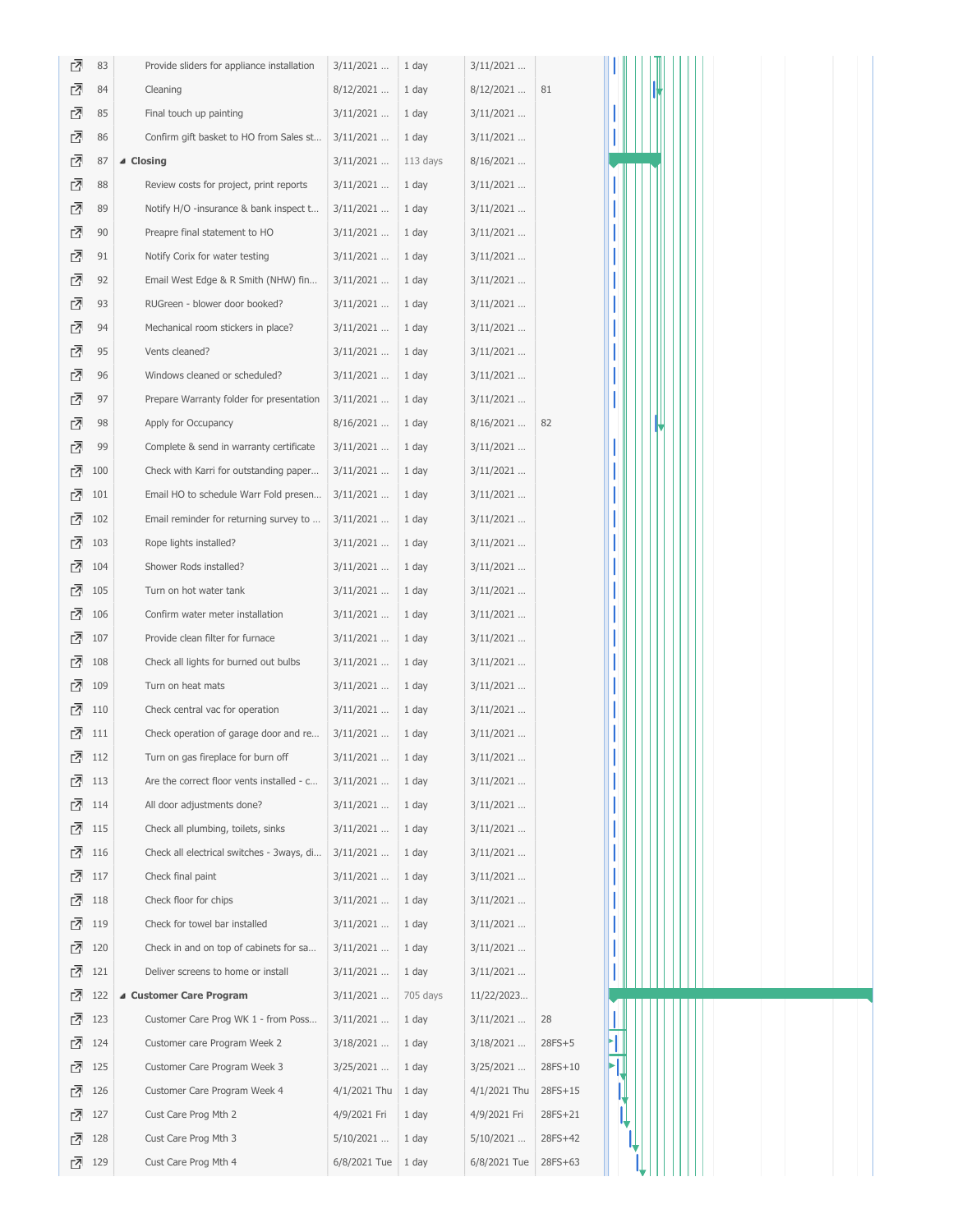| 뎐      | 83         | Provide sliders for appliance installation | $3/11/2021$    | 1 day          | $3/11/2021$  |          |  |  |  |  |  |  |
|--------|------------|--------------------------------------------|----------------|----------------|--------------|----------|--|--|--|--|--|--|
| ₫      | 84         | Cleaning                                   | $8/12/2021$    | 1 day          | $8/12/2021$  | 81       |  |  |  |  |  |  |
| ₫      | 85         | Final touch up painting                    | $3/11/2021$    | 1 day          | $3/11/2021$  |          |  |  |  |  |  |  |
| ᇈ      | 86         | Confirm gift basket to HO from Sales st    | $3/11/2021$    | 1 day          | $3/11/2021$  |          |  |  |  |  |  |  |
| ₫      | 87         | ⊿ Closing                                  | $3/11/2021$    | 113 days       | $8/16/2021$  |          |  |  |  |  |  |  |
| ₫      | 88         | Review costs for project, print reports    | $3/11/2021$    | 1 day          | $3/11/2021$  |          |  |  |  |  |  |  |
| ₫      | 89         | Notify H/O -insurance & bank inspect t     | $3/11/2021$    | 1 day          | $3/11/2021$  |          |  |  |  |  |  |  |
| ₫      | 90         | Preapre final statement to HO              | $3/11/2021$    | 1 day          | 3/11/2021    |          |  |  |  |  |  |  |
| ᇈ      | 91         | Notify Corix for water testing             | $3/11/2021$    | 1 day          | $3/11/2021$  |          |  |  |  |  |  |  |
| ₫      | 92         | Email West Edge & R Smith (NHW) fin        | $3/11/2021$    | 1 day          | $3/11/2021$  |          |  |  |  |  |  |  |
| ₫      | 93         | RUGreen - blower door booked?              | $3/11/2021$    | 1 day          | $3/11/2021$  |          |  |  |  |  |  |  |
| ₫      | 94         | Mechanical room stickers in place?         | 3/11/2021      | 1 day          | $3/11/2021$  |          |  |  |  |  |  |  |
| ₫      | 95         | Vents cleaned?                             | $3/11/2021$    | 1 day          | $3/11/2021$  |          |  |  |  |  |  |  |
| ₫      | 96         | Windows cleaned or scheduled?              | $3/11/2021$    | 1 day          | $3/11/2021$  |          |  |  |  |  |  |  |
| ₫      | 97         | Prepare Warranty folder for presentation   | $3/11/2021$    | 1 day          | $3/11/2021$  |          |  |  |  |  |  |  |
| 囨      | 98         | Apply for Occupancy                        | $8/16/2021$    | 1 day          | $8/16/2021$  | 82       |  |  |  |  |  |  |
| ₫      | 99         | Complete & send in warranty certificate    | $3/11/2021$    | 1 day          | $3/11/2021$  |          |  |  |  |  |  |  |
| ☞      | 100        | Check with Karri for outstanding paper     | $3/11/2021$    | 1 day          | $3/11/2021$  |          |  |  |  |  |  |  |
| ₫      | 101        | Email HO to schedule Warr Fold presen      | $3/11/2021$    | 1 day          | $3/11/2021$  |          |  |  |  |  |  |  |
| ₫      | 102        | Email reminder for returning survey to     | $3/11/2021$    | 1 day          | $3/11/2021$  |          |  |  |  |  |  |  |
| 囨      | 103        | Rope lights installed?                     | $3/11/2021$    | 1 day          | $3/11/2021$  |          |  |  |  |  |  |  |
| ☑      | 104        | Shower Rods installed?                     | $3/11/2021$    | 1 day          | $3/11/2021$  |          |  |  |  |  |  |  |
| ᇈ      | 105        | Turn on hot water tank                     | $3/11/2021$    | 1 day          | $3/11/2021$  |          |  |  |  |  |  |  |
| ᇈ      | 106        | Confirm water meter installation           | $3/11/2021$    | 1 day          | $3/11/2021$  |          |  |  |  |  |  |  |
| ₫      | 107        | Provide clean filter for furnace           | $3/11/2021$    | 1 day          | $3/11/2021$  |          |  |  |  |  |  |  |
| ⊡      | 108        | Check all lights for burned out bulbs      | $3/11/2021$    | 1 day          | $3/11/2021$  |          |  |  |  |  |  |  |
| 다      | 109        | Turn on heat mats                          | $3/11/2021$    | 1 day          | $3/11/2021$  |          |  |  |  |  |  |  |
| ⊡      | 110        | Check central vac for operation            | $3/11/2021$    | 1 day          | $3/11/2021$  |          |  |  |  |  |  |  |
| 囨      | 111        | Check operation of garage door and re      | $3/11/2021$    | 1 day          | $3/11/2021$  |          |  |  |  |  |  |  |
| ₫      | 112        | Turn on gas fireplace for burn off         | $3/11/2021$    | 1 day          | $3/11/2021$  |          |  |  |  |  |  |  |
| 囨      | 113        | Are the correct floor vents installed - c  | $3/11/2021$    | 1 day          | $3/11/2021$  |          |  |  |  |  |  |  |
| ⊡      | 114        | All door adjustments done?                 | $3/11/2021$    | 1 day          | $3/11/2021$  |          |  |  |  |  |  |  |
| ₫      | 115        | Check all plumbing, toilets, sinks         | $3/11/2021$    | 1 day          | $3/11/2021$  |          |  |  |  |  |  |  |
| ⊡      | 116        | Check all electrical switches - 3ways, di  | $3/11/2021$    | 1 day          | $3/11/2021$  |          |  |  |  |  |  |  |
| ☞      | 117        | Check final paint                          | $3/11/2021$    | 1 day          | $3/11/2021$  |          |  |  |  |  |  |  |
| ⊡      | 118        | Check floor for chips                      | $3/11/2021$    | 1 day          | $3/11/2021$  |          |  |  |  |  |  |  |
| ⊡      | 119        | Check for towel bar installed              | $3/11/2021$    | 1 day          | $3/11/2021$  |          |  |  |  |  |  |  |
| ঐ      | 120        | Check in and on top of cabinets for sa     | $3/11/2021$    | 1 day          | $3/11/2021$  |          |  |  |  |  |  |  |
| ⊡      | 121        | Deliver screens to home or install         | $3/11/2021$    | 1 day          | $3/11/2021$  |          |  |  |  |  |  |  |
| ☑      | 122        | ▲ Customer Care Program                    | $3/11/2021$    | 705 days       | 11/22/2023   |          |  |  |  |  |  |  |
| ঐ<br>⊡ | 123        | Customer Care Prog WK 1 - from Poss        | $3/11/2021$    | 1 day          | $3/11/2021$  | 28       |  |  |  |  |  |  |
|        | 124        | Customer care Program Week 2               | $3/18/2021$    | 1 day          | $3/18/2021$  | $28FS+5$ |  |  |  |  |  |  |
| ☞      | 125        | Customer Care Program Week 3               | 3/25/2021      | 1 day          | 3/25/2021    | 28FS+10  |  |  |  |  |  |  |
| ☞<br>⊡ | 126<br>127 | Customer Care Program Week 4               | $4/1/2021$ Thu | 1 day          | 4/1/2021 Thu | 28FS+15  |  |  |  |  |  |  |
| ঐ      | 128        | Cust Care Prog Mth 2                       | 4/9/2021 Fri   | 1 day<br>1 day | 4/9/2021 Fri | 28FS+21  |  |  |  |  |  |  |
|        |            | Cust Care Prog Mth 3                       | $5/10/2021$    |                | $5/10/2021$  | 28FS+42  |  |  |  |  |  |  |
|        | ☑ 129      | Cust Care Prog Mth 4                       | 6/8/2021 Tue   | 1 day          | 6/8/2021 Tue | 28FS+63  |  |  |  |  |  |  |